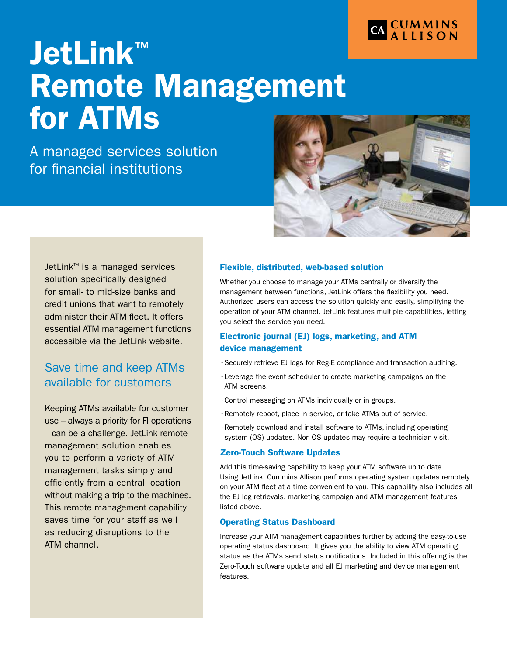

# JetLink™ Remote Management for ATMs

A managed services solution for financial institutions



JetLink<sup>™</sup> is a managed services solution specifically designed for small- to mid-size banks and credit unions that want to remotely administer their ATM fleet. It offers essential ATM management functions accessible via the JetLink website.

### Save time and keep ATMs available for customers

Keeping ATMs available for customer use – always a priority for FI operations – can be a challenge. JetLink remote management solution enables you to perform a variety of ATM management tasks simply and efficiently from a central location without making a trip to the machines. This remote management capability saves time for your staff as well as reducing disruptions to the ATM channel.

### Flexible, distributed, web-based solution

Whether you choose to manage your ATMs centrally or diversify the management between functions, JetLink offers the flexibility you need. Authorized users can access the solution quickly and easily, simplifying the operation of your ATM channel. JetLink features multiple capabilities, letting you select the service you need.

### Electronic journal (EJ) logs, marketing, and ATM device management

- •Securely retrieve EJ logs for Reg-E compliance and transaction auditing.
- •Leverage the event scheduler to create marketing campaigns on the ATM screens.
- •Control messaging on ATMs individually or in groups.
- •Remotely reboot, place in service, or take ATMs out of service.
- •Remotely download and install software to ATMs, including operating system (OS) updates. Non-OS updates may require a technician visit.

### Zero-Touch Software Updates

Add this time-saving capability to keep your ATM software up to date. Using JetLink, Cummins Allison performs operating system updates remotely on your ATM fleet at a time convenient to you. This capability also includes all the EJ log retrievals, marketing campaign and ATM management features listed above.

### Operating Status Dashboard

Increase your ATM management capabilities further by adding the easy-to-use operating status dashboard. It gives you the ability to view ATM operating status as the ATMs send status notifications. Included in this offering is the Zero-Touch software update and all EJ marketing and device management features.